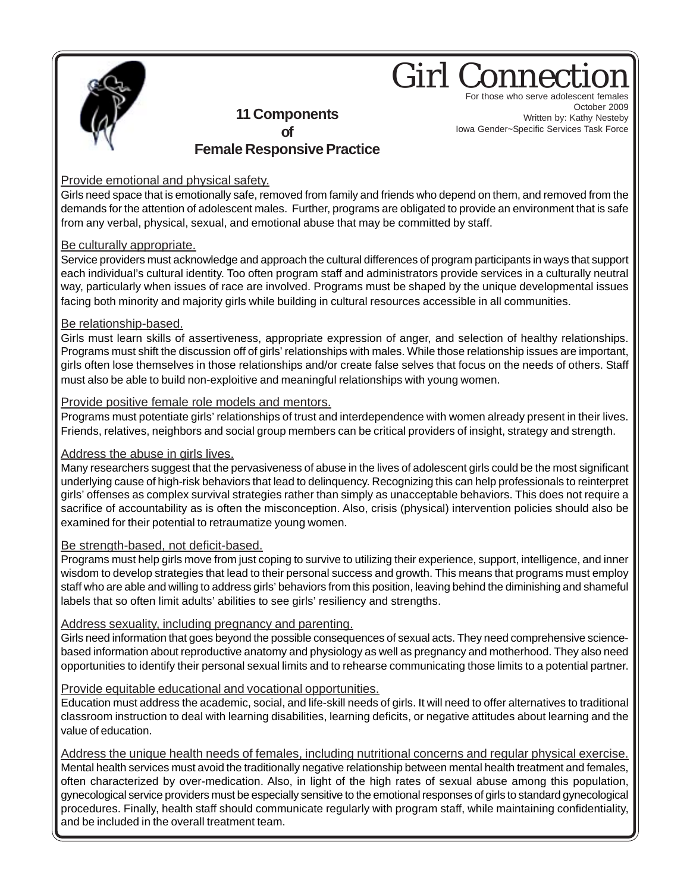

## **Girl Connect** For those who serve adolescent females

**11 Components of Female Responsive Practice**

October 2009 Written by: Kathy Nesteby Iowa Gender~Specific Services Task Force

### Provide emotional and physical safety.

Girls need space that is emotionally safe, removed from family and friends who depend on them, and removed from the demands for the attention of adolescent males. Further, programs are obligated to provide an environment that is safe from any verbal, physical, sexual, and emotional abuse that may be committed by staff.

#### Be culturally appropriate.

Service providers must acknowledge and approach the cultural differences of program participants in ways that support each individual's cultural identity. Too often program staff and administrators provide services in a culturally neutral way, particularly when issues of race are involved. Programs must be shaped by the unique developmental issues facing both minority and majority girls while building in cultural resources accessible in all communities.

#### Be relationship-based.

Girls must learn skills of assertiveness, appropriate expression of anger, and selection of healthy relationships. Programs must shift the discussion off of girls' relationships with males. While those relationship issues are important, girls often lose themselves in those relationships and/or create false selves that focus on the needs of others. Staff must also be able to build non-exploitive and meaningful relationships with young women.

#### Provide positive female role models and mentors.

Programs must potentiate girls' relationships of trust and interdependence with women already present in their lives. Friends, relatives, neighbors and social group members can be critical providers of insight, strategy and strength.

#### Address the abuse in girls lives.

Many researchers suggest that the pervasiveness of abuse in the lives of adolescent girls could be the most significant underlying cause of high-risk behaviors that lead to delinquency. Recognizing this can help professionals to reinterpret girls' offenses as complex survival strategies rather than simply as unacceptable behaviors. This does not require a sacrifice of accountability as is often the misconception. Also, crisis (physical) intervention policies should also be examined for their potential to retraumatize young women.

#### Be strength-based, not deficit-based.

Programs must help girls move from just coping to survive to utilizing their experience, support, intelligence, and inner wisdom to develop strategies that lead to their personal success and growth. This means that programs must employ staff who are able and willing to address girls' behaviors from this position, leaving behind the diminishing and shameful labels that so often limit adults' abilities to see girls' resiliency and strengths.

#### Address sexuality, including pregnancy and parenting.

Girls need information that goes beyond the possible consequences of sexual acts. They need comprehensive sciencebased information about reproductive anatomy and physiology as well as pregnancy and motherhood. They also need opportunities to identify their personal sexual limits and to rehearse communicating those limits to a potential partner.

#### Provide equitable educational and vocational opportunities.

Education must address the academic, social, and life-skill needs of girls. It will need to offer alternatives to traditional classroom instruction to deal with learning disabilities, learning deficits, or negative attitudes about learning and the value of education.

Address the unique health needs of females, including nutritional concerns and regular physical exercise.

Mental health services must avoid the traditionally negative relationship between mental health treatment and females, often characterized by over-medication. Also, in light of the high rates of sexual abuse among this population, gynecological service providers must be especially sensitive to the emotional responses of girls to standard gynecological procedures. Finally, health staff should communicate regularly with program staff, while maintaining confidentiality, and be included in the overall treatment team.